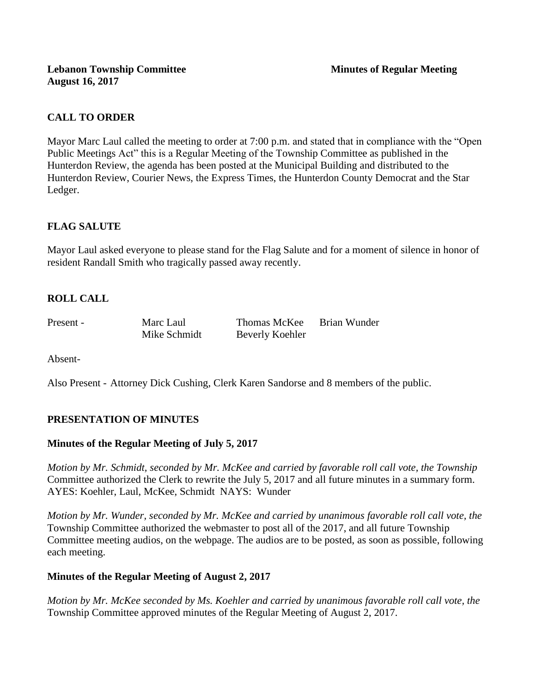# **CALL TO ORDER**

Mayor Marc Laul called the meeting to order at 7:00 p.m. and stated that in compliance with the "Open Public Meetings Act" this is a Regular Meeting of the Township Committee as published in the Hunterdon Review, the agenda has been posted at the Municipal Building and distributed to the Hunterdon Review, Courier News, the Express Times, the Hunterdon County Democrat and the Star Ledger.

# **FLAG SALUTE**

Mayor Laul asked everyone to please stand for the Flag Salute and for a moment of silence in honor of resident Randall Smith who tragically passed away recently.

# **ROLL CALL**

Present - Marc Laul Thomas McKee Brian Wunder Mike Schmidt Beverly Koehler

Absent-

Also Present - Attorney Dick Cushing, Clerk Karen Sandorse and 8 members of the public.

# **PRESENTATION OF MINUTES**

# **Minutes of the Regular Meeting of July 5, 2017**

*Motion by Mr. Schmidt, seconded by Mr. McKee and carried by favorable roll call vote, the Township* Committee authorized the Clerk to rewrite the July 5, 2017 and all future minutes in a summary form. AYES: Koehler, Laul, McKee, Schmidt NAYS: Wunder

*Motion by Mr. Wunder, seconded by Mr. McKee and carried by unanimous favorable roll call vote, the* Township Committee authorized the webmaster to post all of the 2017, and all future Township Committee meeting audios, on the webpage. The audios are to be posted, as soon as possible, following each meeting.

# **Minutes of the Regular Meeting of August 2, 2017**

*Motion by Mr. McKee seconded by Ms. Koehler and carried by unanimous favorable roll call vote, the* Township Committee approved minutes of the Regular Meeting of August 2, 2017.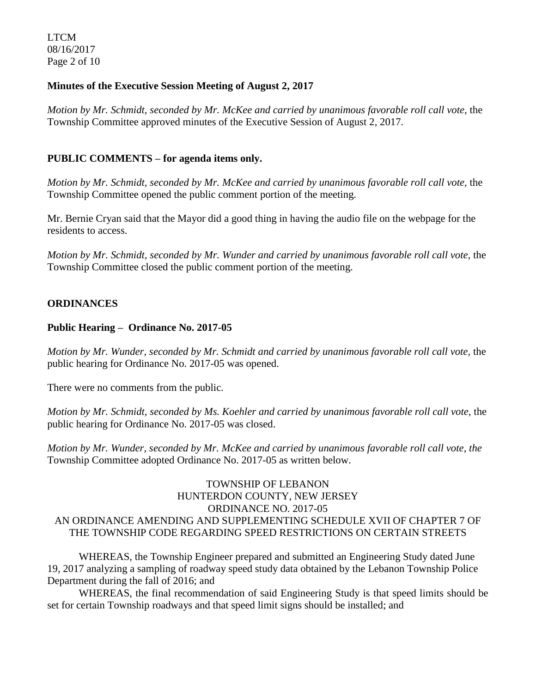LTCM 08/16/2017 Page 2 of 10

## **Minutes of the Executive Session Meeting of August 2, 2017**

*Motion by Mr. Schmidt, seconded by Mr. McKee and carried by unanimous favorable roll call vote,* the Township Committee approved minutes of the Executive Session of August 2, 2017.

## **PUBLIC COMMENTS – for agenda items only.**

*Motion by Mr. Schmidt, seconded by Mr. McKee and carried by unanimous favorable roll call vote,* the Township Committee opened the public comment portion of the meeting.

Mr. Bernie Cryan said that the Mayor did a good thing in having the audio file on the webpage for the residents to access.

*Motion by Mr. Schmidt, seconded by Mr. Wunder and carried by unanimous favorable roll call vote,* the Township Committee closed the public comment portion of the meeting.

## **ORDINANCES**

#### **Public Hearing – Ordinance No. 2017-05**

*Motion by Mr. Wunder, seconded by Mr. Schmidt and carried by unanimous favorable roll call vote,* the public hearing for Ordinance No. 2017-05 was opened.

There were no comments from the public*.*

*Motion by Mr. Schmidt, seconded by Ms. Koehler and carried by unanimous favorable roll call vote,* the public hearing for Ordinance No. 2017-05 was closed.

*Motion by Mr. Wunder, seconded by Mr. McKee and carried by unanimous favorable roll call vote, the* Township Committee adopted Ordinance No. 2017-05 as written below.

## TOWNSHIP OF LEBANON HUNTERDON COUNTY, NEW JERSEY ORDINANCE NO. 2017-05 AN ORDINANCE AMENDING AND SUPPLEMENTING SCHEDULE XVII OF CHAPTER 7 OF THE TOWNSHIP CODE REGARDING SPEED RESTRICTIONS ON CERTAIN STREETS

WHEREAS, the Township Engineer prepared and submitted an Engineering Study dated June 19, 2017 analyzing a sampling of roadway speed study data obtained by the Lebanon Township Police Department during the fall of 2016; and

WHEREAS, the final recommendation of said Engineering Study is that speed limits should be set for certain Township roadways and that speed limit signs should be installed; and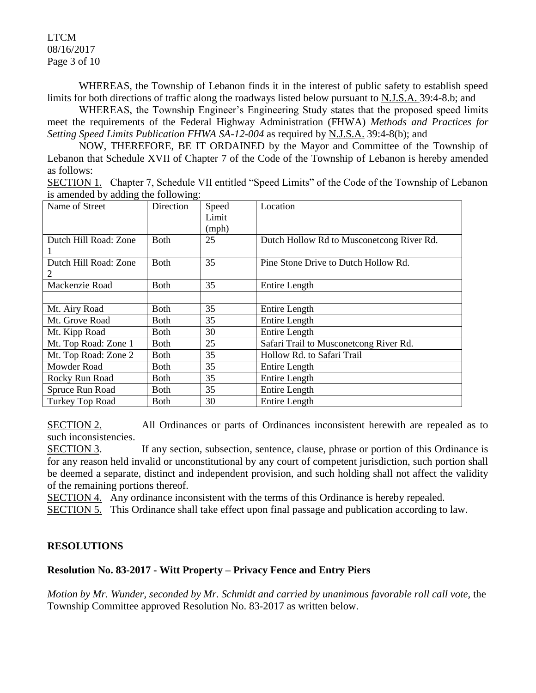LTCM 08/16/2017 Page 3 of 10

WHEREAS, the Township of Lebanon finds it in the interest of public safety to establish speed limits for both directions of traffic along the roadways listed below pursuant to N.J.S.A. 39:4-8.b; and

WHEREAS, the Township Engineer's Engineering Study states that the proposed speed limits meet the requirements of the Federal Highway Administration (FHWA) *Methods and Practices for Setting Speed Limits Publication FHWA SA-12-004* as required by N.J.S.A. 39:4-8(b); and

NOW, THEREFORE, BE IT ORDAINED by the Mayor and Committee of the Township of Lebanon that Schedule XVII of Chapter 7 of the Code of the Township of Lebanon is hereby amended as follows:

SECTION 1. Chapter 7, Schedule VII entitled "Speed Limits" of the Code of the Township of Lebanon is amended by adding the following:

| Name of Street        | Direction   | Speed | Location                                  |
|-----------------------|-------------|-------|-------------------------------------------|
|                       |             |       |                                           |
|                       |             | Limit |                                           |
|                       |             | (mph) |                                           |
| Dutch Hill Road: Zone | <b>Both</b> | 25    | Dutch Hollow Rd to Musconetcong River Rd. |
|                       |             |       |                                           |
| Dutch Hill Road: Zone | <b>Both</b> | 35    | Pine Stone Drive to Dutch Hollow Rd.      |
| 2                     |             |       |                                           |
| Mackenzie Road        | Both        | 35    | Entire Length                             |
|                       |             |       |                                           |
| Mt. Airy Road         | Both        | 35    | Entire Length                             |
| Mt. Grove Road        | Both        | 35    | Entire Length                             |
| Mt. Kipp Road         | <b>Both</b> | 30    | Entire Length                             |
| Mt. Top Road: Zone 1  | Both        | 25    | Safari Trail to Musconetcong River Rd.    |
| Mt. Top Road: Zone 2  | Both        | 35    | Hollow Rd. to Safari Trail                |
| Mowder Road           | Both        | 35    | Entire Length                             |
| Rocky Run Road        | <b>Both</b> | 35    | <b>Entire Length</b>                      |
| Spruce Run Road       | <b>Both</b> | 35    | <b>Entire Length</b>                      |
| Turkey Top Road       | Both        | 30    | <b>Entire Length</b>                      |

SECTION 2. All Ordinances or parts of Ordinances inconsistent herewith are repealed as to such inconsistencies.

SECTION 3. If any section, subsection, sentence, clause, phrase or portion of this Ordinance is for any reason held invalid or unconstitutional by any court of competent jurisdiction, such portion shall be deemed a separate, distinct and independent provision, and such holding shall not affect the validity of the remaining portions thereof.

SECTION 4. Any ordinance inconsistent with the terms of this Ordinance is hereby repealed.

SECTION 5. This Ordinance shall take effect upon final passage and publication according to law.

# **RESOLUTIONS**

# **Resolution No. 83-2017 - Witt Property – Privacy Fence and Entry Piers**

*Motion by Mr. Wunder, seconded by Mr. Schmidt and carried by unanimous favorable roll call vote, the* Township Committee approved Resolution No. 83-2017 as written below.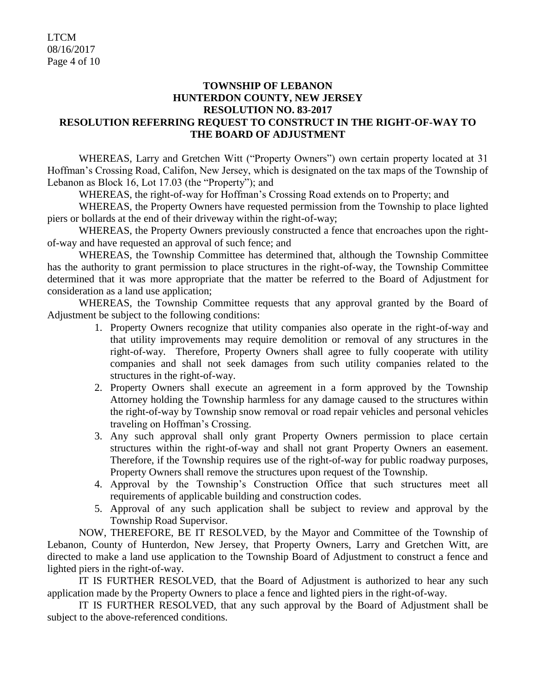## **TOWNSHIP OF LEBANON HUNTERDON COUNTY, NEW JERSEY RESOLUTION NO. 83-2017 RESOLUTION REFERRING REQUEST TO CONSTRUCT IN THE RIGHT-OF-WAY TO THE BOARD OF ADJUSTMENT**

WHEREAS, Larry and Gretchen Witt ("Property Owners") own certain property located at 31 Hoffman's Crossing Road, Califon, New Jersey, which is designated on the tax maps of the Township of Lebanon as Block 16, Lot 17.03 (the "Property"); and

WHEREAS, the right-of-way for Hoffman's Crossing Road extends on to Property; and

WHEREAS, the Property Owners have requested permission from the Township to place lighted piers or bollards at the end of their driveway within the right-of-way;

WHEREAS, the Property Owners previously constructed a fence that encroaches upon the rightof-way and have requested an approval of such fence; and

WHEREAS, the Township Committee has determined that, although the Township Committee has the authority to grant permission to place structures in the right-of-way, the Township Committee determined that it was more appropriate that the matter be referred to the Board of Adjustment for consideration as a land use application;

WHEREAS, the Township Committee requests that any approval granted by the Board of Adjustment be subject to the following conditions:

- 1. Property Owners recognize that utility companies also operate in the right-of-way and that utility improvements may require demolition or removal of any structures in the right-of-way. Therefore, Property Owners shall agree to fully cooperate with utility companies and shall not seek damages from such utility companies related to the structures in the right-of-way.
- 2. Property Owners shall execute an agreement in a form approved by the Township Attorney holding the Township harmless for any damage caused to the structures within the right-of-way by Township snow removal or road repair vehicles and personal vehicles traveling on Hoffman's Crossing.
- 3. Any such approval shall only grant Property Owners permission to place certain structures within the right-of-way and shall not grant Property Owners an easement. Therefore, if the Township requires use of the right-of-way for public roadway purposes, Property Owners shall remove the structures upon request of the Township.
- 4. Approval by the Township's Construction Office that such structures meet all requirements of applicable building and construction codes.
- 5. Approval of any such application shall be subject to review and approval by the Township Road Supervisor.

NOW, THEREFORE, BE IT RESOLVED, by the Mayor and Committee of the Township of Lebanon, County of Hunterdon, New Jersey, that Property Owners, Larry and Gretchen Witt, are directed to make a land use application to the Township Board of Adjustment to construct a fence and lighted piers in the right-of-way.

IT IS FURTHER RESOLVED, that the Board of Adjustment is authorized to hear any such application made by the Property Owners to place a fence and lighted piers in the right-of-way.

IT IS FURTHER RESOLVED, that any such approval by the Board of Adjustment shall be subject to the above-referenced conditions.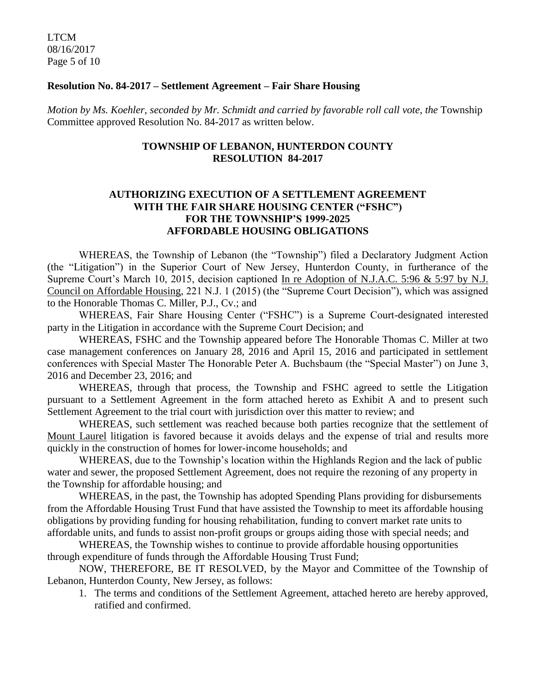LTCM 08/16/2017 Page 5 of 10

#### **Resolution No. 84-2017 – Settlement Agreement – Fair Share Housing**

*Motion by Ms. Koehler, seconded by Mr. Schmidt and carried by favorable roll call vote, the* Township Committee approved Resolution No. 84-2017 as written below.

## **TOWNSHIP OF LEBANON, HUNTERDON COUNTY RESOLUTION 84-2017**

## **AUTHORIZING EXECUTION OF A SETTLEMENT AGREEMENT WITH THE FAIR SHARE HOUSING CENTER ("FSHC") FOR THE TOWNSHIP'S 1999-2025 AFFORDABLE HOUSING OBLIGATIONS**

WHEREAS, the Township of Lebanon (the "Township") filed a Declaratory Judgment Action (the "Litigation") in the Superior Court of New Jersey, Hunterdon County, in furtherance of the Supreme Court's March 10, 2015, decision captioned In re Adoption of N.J.A.C. 5:96 & 5:97 by N.J. Council on Affordable Housing, 221 N.J. 1 (2015) (the "Supreme Court Decision"), which was assigned to the Honorable Thomas C. Miller, P.J., Cv.; and

WHEREAS, Fair Share Housing Center ("FSHC") is a Supreme Court-designated interested party in the Litigation in accordance with the Supreme Court Decision; and

WHEREAS, FSHC and the Township appeared before The Honorable Thomas C. Miller at two case management conferences on January 28, 2016 and April 15, 2016 and participated in settlement conferences with Special Master The Honorable Peter A. Buchsbaum (the "Special Master") on June 3, 2016 and December 23, 2016; and

WHEREAS, through that process, the Township and FSHC agreed to settle the Litigation pursuant to a Settlement Agreement in the form attached hereto as Exhibit A and to present such Settlement Agreement to the trial court with jurisdiction over this matter to review; and

WHEREAS, such settlement was reached because both parties recognize that the settlement of Mount Laurel litigation is favored because it avoids delays and the expense of trial and results more quickly in the construction of homes for lower-income households; and

WHEREAS, due to the Township's location within the Highlands Region and the lack of public water and sewer, the proposed Settlement Agreement, does not require the rezoning of any property in the Township for affordable housing; and

WHEREAS, in the past, the Township has adopted Spending Plans providing for disbursements from the Affordable Housing Trust Fund that have assisted the Township to meet its affordable housing obligations by providing funding for housing rehabilitation, funding to convert market rate units to affordable units, and funds to assist non-profit groups or groups aiding those with special needs; and

WHEREAS, the Township wishes to continue to provide affordable housing opportunities through expenditure of funds through the Affordable Housing Trust Fund;

NOW, THEREFORE, BE IT RESOLVED, by the Mayor and Committee of the Township of Lebanon, Hunterdon County, New Jersey, as follows:

1. The terms and conditions of the Settlement Agreement, attached hereto are hereby approved, ratified and confirmed.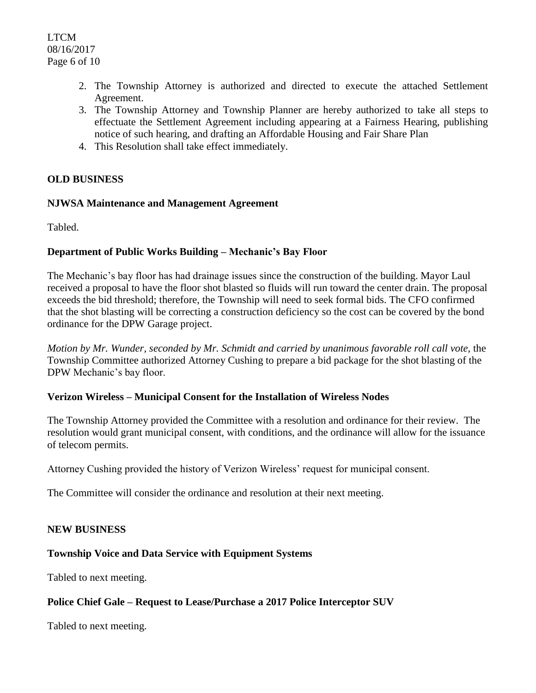- 2. The Township Attorney is authorized and directed to execute the attached Settlement Agreement.
- 3. The Township Attorney and Township Planner are hereby authorized to take all steps to effectuate the Settlement Agreement including appearing at a Fairness Hearing, publishing notice of such hearing, and drafting an Affordable Housing and Fair Share Plan
- 4. This Resolution shall take effect immediately.

# **OLD BUSINESS**

#### **NJWSA Maintenance and Management Agreement**

Tabled.

#### **Department of Public Works Building – Mechanic's Bay Floor**

The Mechanic's bay floor has had drainage issues since the construction of the building. Mayor Laul received a proposal to have the floor shot blasted so fluids will run toward the center drain. The proposal exceeds the bid threshold; therefore, the Township will need to seek formal bids. The CFO confirmed that the shot blasting will be correcting a construction deficiency so the cost can be covered by the bond ordinance for the DPW Garage project.

*Motion by Mr. Wunder, seconded by Mr. Schmidt and carried by unanimous favorable roll call vote,* the Township Committee authorized Attorney Cushing to prepare a bid package for the shot blasting of the DPW Mechanic's bay floor.

#### **Verizon Wireless – Municipal Consent for the Installation of Wireless Nodes**

The Township Attorney provided the Committee with a resolution and ordinance for their review. The resolution would grant municipal consent, with conditions, and the ordinance will allow for the issuance of telecom permits.

Attorney Cushing provided the history of Verizon Wireless' request for municipal consent.

The Committee will consider the ordinance and resolution at their next meeting.

#### **NEW BUSINESS**

# **Township Voice and Data Service with Equipment Systems**

Tabled to next meeting.

# **Police Chief Gale – Request to Lease/Purchase a 2017 Police Interceptor SUV**

Tabled to next meeting.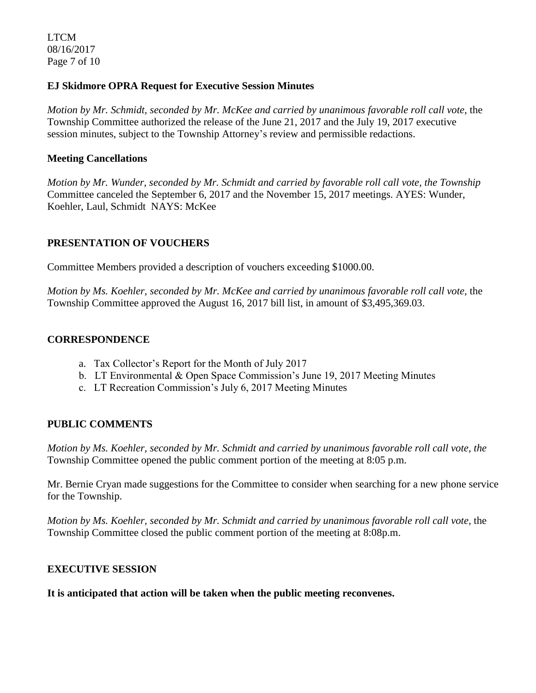LTCM 08/16/2017 Page 7 of 10

## **EJ Skidmore OPRA Request for Executive Session Minutes**

*Motion by Mr. Schmidt, seconded by Mr. McKee and carried by unanimous favorable roll call vote, the* Township Committee authorized the release of the June 21, 2017 and the July 19, 2017 executive session minutes, subject to the Township Attorney's review and permissible redactions.

### **Meeting Cancellations**

*Motion by Mr. Wunder, seconded by Mr. Schmidt and carried by favorable roll call vote, the Township* Committee canceled the September 6, 2017 and the November 15, 2017 meetings. AYES: Wunder, Koehler, Laul, Schmidt NAYS: McKee

# **PRESENTATION OF VOUCHERS**

Committee Members provided a description of vouchers exceeding \$1000.00.

*Motion by Ms. Koehler, seconded by Mr. McKee and carried by unanimous favorable roll call vote,* the Township Committee approved the August 16, 2017 bill list, in amount of \$3,495,369.03.

## **CORRESPONDENCE**

- a. Tax Collector's Report for the Month of July 2017
- b. LT Environmental & Open Space Commission's June 19, 2017 Meeting Minutes
- c. LT Recreation Commission's July 6, 2017 Meeting Minutes

# **PUBLIC COMMENTS**

*Motion by Ms. Koehler, seconded by Mr. Schmidt and carried by unanimous favorable roll call vote, the* Township Committee opened the public comment portion of the meeting at 8:05 p.m.

Mr. Bernie Cryan made suggestions for the Committee to consider when searching for a new phone service for the Township.

*Motion by Ms. Koehler, seconded by Mr. Schmidt and carried by unanimous favorable roll call vote,* the Township Committee closed the public comment portion of the meeting at 8:08p.m.

#### **EXECUTIVE SESSION**

**It is anticipated that action will be taken when the public meeting reconvenes.**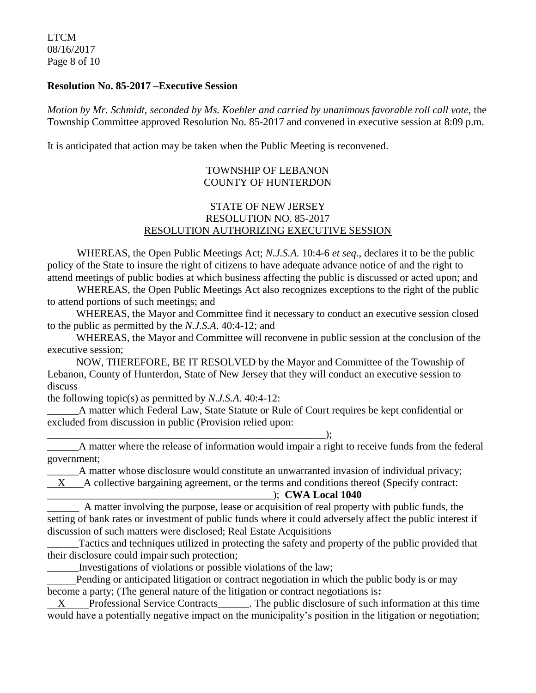LTCM 08/16/2017 Page 8 of 10

#### **Resolution No. 85-2017 –Executive Session**

*Motion by Mr. Schmidt, seconded by Ms. Koehler and carried by unanimous favorable roll call vote,* the Township Committee approved Resolution No. 85-2017 and convened in executive session at 8:09 p.m.

It is anticipated that action may be taken when the Public Meeting is reconvened.

## TOWNSHIP OF LEBANON COUNTY OF HUNTERDON

## STATE OF NEW JERSEY RESOLUTION NO. 85-2017 RESOLUTION AUTHORIZING EXECUTIVE SESSION

WHEREAS, the Open Public Meetings Act; *N.J.S.A.* 10:4-6 *et seq*., declares it to be the public policy of the State to insure the right of citizens to have adequate advance notice of and the right to attend meetings of public bodies at which business affecting the public is discussed or acted upon; and

WHEREAS, the Open Public Meetings Act also recognizes exceptions to the right of the public to attend portions of such meetings; and

 WHEREAS, the Mayor and Committee find it necessary to conduct an executive session closed to the public as permitted by the *N.J.S.A*. 40:4-12; and

 WHEREAS, the Mayor and Committee will reconvene in public session at the conclusion of the executive session;

 NOW, THEREFORE, BE IT RESOLVED by the Mayor and Committee of the Township of Lebanon, County of Hunterdon, State of New Jersey that they will conduct an executive session to discuss

the following topic(s) as permitted by *N.J.S.A*. 40:4-12:

A matter which Federal Law, State Statute or Rule of Court requires be kept confidential or excluded from discussion in public (Provision relied upon:

 $\qquad \qquad ; \qquad$ \_\_\_\_\_\_A matter where the release of information would impair a right to receive funds from the federal government;

\_\_\_\_\_\_A matter whose disclosure would constitute an unwarranted invasion of individual privacy;

 $X$  A collective bargaining agreement, or the terms and conditions thereof (Specify contract:

#### \_\_\_\_\_\_\_\_\_\_\_\_\_\_\_\_\_\_\_\_\_\_\_\_\_\_\_\_\_\_\_\_\_\_\_\_\_\_\_\_\_\_\_); **CWA Local 1040**

 A matter involving the purpose, lease or acquisition of real property with public funds, the setting of bank rates or investment of public funds where it could adversely affect the public interest if discussion of such matters were disclosed; Real Estate Acquisitions

Tactics and techniques utilized in protecting the safety and property of the public provided that their disclosure could impair such protection;

\_\_\_\_\_\_Investigations of violations or possible violations of the law;

 Pending or anticipated litigation or contract negotiation in which the public body is or may become a party; (The general nature of the litigation or contract negotiations is**:** 

 X Professional Service Contracts\_\_\_\_\_\_. The public disclosure of such information at this time would have a potentially negative impact on the municipality's position in the litigation or negotiation;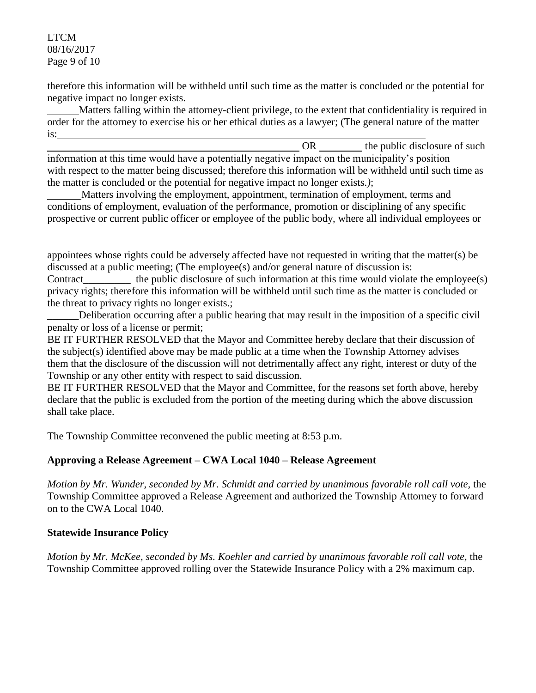LTCM 08/16/2017 Page 9 of 10

therefore this information will be withheld until such time as the matter is concluded or the potential for negative impact no longer exists.

 Matters falling within the attorney-client privilege, to the extent that confidentiality is required in order for the attorney to exercise his or her ethical duties as a lawyer; (The general nature of the matter is:

OR the public disclosure of such information at this time would have a potentially negative impact on the municipality's position with respect to the matter being discussed; therefore this information will be withheld until such time as the matter is concluded or the potential for negative impact no longer exists.*)*;

 Matters involving the employment, appointment, termination of employment, terms and conditions of employment, evaluation of the performance, promotion or disciplining of any specific prospective or current public officer or employee of the public body, where all individual employees or

appointees whose rights could be adversely affected have not requested in writing that the matter(s) be discussed at a public meeting; (The employee(s) and/or general nature of discussion is:

Contract the public disclosure of such information at this time would violate the employee(s) privacy rights; therefore this information will be withheld until such time as the matter is concluded or the threat to privacy rights no longer exists.;

\_\_\_\_\_\_Deliberation occurring after a public hearing that may result in the imposition of a specific civil penalty or loss of a license or permit;

BE IT FURTHER RESOLVED that the Mayor and Committee hereby declare that their discussion of the subject(s) identified above may be made public at a time when the Township Attorney advises them that the disclosure of the discussion will not detrimentally affect any right, interest or duty of the Township or any other entity with respect to said discussion.

BE IT FURTHER RESOLVED that the Mayor and Committee, for the reasons set forth above, hereby declare that the public is excluded from the portion of the meeting during which the above discussion shall take place.

The Township Committee reconvened the public meeting at 8:53 p.m.

# **Approving a Release Agreement – CWA Local 1040 – Release Agreement**

*Motion by Mr. Wunder, seconded by Mr. Schmidt and carried by unanimous favorable roll call vote,* the Township Committee approved a Release Agreement and authorized the Township Attorney to forward on to the CWA Local 1040.

# **Statewide Insurance Policy**

*Motion by Mr. McKee, seconded by Ms. Koehler and carried by unanimous favorable roll call vote,* the Township Committee approved rolling over the Statewide Insurance Policy with a 2% maximum cap.